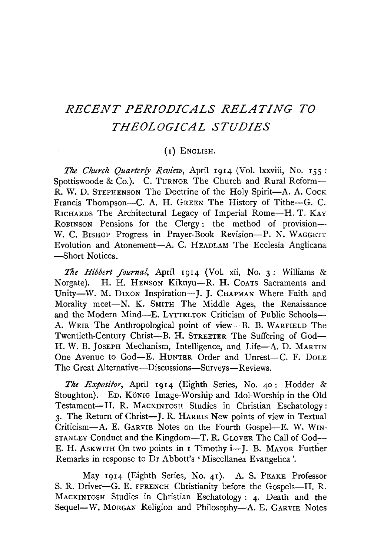# *RECENT PERIODICALS RELATING TO THEOLOGICAL STUDIES*

## (1) ENGLISH.

*The Church Quarterly Review,* April 1914 (Vol. lxxviii, No. 155 : Spottiswoode & Co.). C. TURNOR The Church and Rural Reform--R. W. D. STEPHENSON The Doctrine of the Holy Spirit-A. A. Cock Francis Thompson-C. A. H. GREEN The History of Tithe-G. C. RICHARDS The Architectural Legacy of Imperial Rome-H. T. KAY RoBINSON Pensions for the Clergy : the method of provision-- W. C. BISHOP Progress in Prayer-Book Revision-P. N. WAGGETT Evolution and Atonement-A. C. HEADLAM The Ecclesia Anglicana -Short Notices.

The Hibbert Journal, April 1914 (Vol. xii, No. 3: Williams & Norgate). H. H. HENSON Kikuyu-R. H. COATS Sacraments and Unity-W. M. DIXON Inspiration-J. J. CHAPMAN Where Faith and Morality meet-N. K. SMITH The Middle Ages, the Renaissance and the Modern Mind-E. LYTTELTON Criticism of Public Schools-A. WEIR The Anthropological point of view-B. B. WARFIELD The Twentieth-Century Christ-B. H. STREETER The Suffering of God-H. W. B. JOSEPH Mechanism, Intelligence, and Life-A. D. MARTIN One Avenue to God-E. HUNTER Order and Unrest-C. F. DOLE The Great Alternative-Discussions-Surveys-Reviews.

*The Expositor*, April 1914 (Eighth Series, No. 40: Hodder & Stoughton). ED. KÖNIG Image-Worship and Idol-Worship in the Old Testament-H. R. MACKINTOSH Studies in Christian Eschatology: 3. The Return of Christ-J. R. HARRIS New points of view in Textual Criticism-A. E. GARVIE Notes on the Fourth Gospel-E. W. WIN-STANLEY Conduct and the Kingdom-T. R. GLOVER The Call of God--E. H. Askwith On two points in 1 Timothy i-J. B. MAYOR Further Remarks in response to Dr Abbott's 'Miscellanea Evangelica'.

May 1914 (Eighth Series, No. 41). A. S. PEAKE Professor S. R. Driver-G. E. FFRENCH Christianity before the Gospels-H. R. MACKINTOSH Studies in Christian Eschatology : 4· Death and the Sequel-W. MORGAN Religion and Philosophy-A. E. GARVIE Notes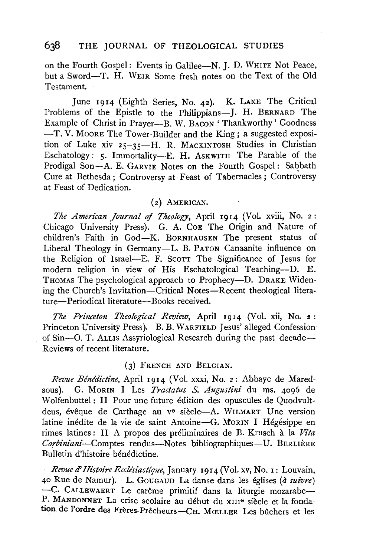on the Fourth Gospel: Events in Galilee-N. J. D. WHITE Not Peace, but a Sword-T. H. WEIR Some fresh notes on the Text of the Old Testament.

June 1914 (Eighth Series, No. 42). K. LAKE The Critical Problems of the Epistle to the Philippians-J. H. BERNARD The Example of Christ in Prayer-B. W. BACON 'Thankworthy' Goodness -T.V. MooRE The Tower-Builder and the King; a suggested exposition of Luke xiv 25-35-H. R. MACKINTOSH Studies in Christian Eschatology: 5. Immortality-E. H. ASKWITH The Parable of the Prodigal Son-A. E. GARVIE Notes on the Fourth Gospel: Sabbath Cure at Bethesda; Controversy at Feast of Tabernacles; Controversy at Feast of Dedication.

#### (2) AMERICAN.

*The American Journal of Theology,* April 1914 (Vol. xviii, No. 2: Chicago University Press). G. A. CoE The Origin and Nature of children's Faith in God-K. BoRNHAUSEN The present status of Liberal Theology in Germany-L. B. PATON Canaanite influence on the Religion of Israel-E. F. SCOTT The Significance of Jesus for modern religion in view of His Eschatological Teaching-D. E. THOMAS The psychological approach to Prophecy-D. DRAKE Widening the Church's Invitation—Critical Notes—Recent theological literature-Periodical literature-Books received.

*The Princeton Theological Review, April 1914 (Vol. xii, No. 2:* Princeton University Press). B. B. W ARFIELD Jesus' alleged Confession of Sin-0. T. ALLIS Assyriological Research during the past decade-Reviews of recent literature.

#### (3) FRENCH AND BELGIAN.

*Revue Benedictine,* April 1914 (Vol. xxxi, No. 2: Abbaye de Maredsous). G. MORIN I Les *Tractatus S. Augustini* du ms. 4096 de W olfenbuttel : II Pour une future edition des opuscules de Quodvultdeus, évêque de Carthage au v<sup>e</sup> siècle-A. WILMART Une version Iatine inédite de la vie de saint Antoine-G. MORIN I Hégésippe en rimes latines : II A propos des preliminaires de B. Krusch a la *Vita*  Corbiniani-Comptes rendus-Notes bibliographiques-U. BERLIÈRE Bulletin d'histoire benedictine.

*Revue* d' *Histoire Ecclesiastique,* January 1914 (Vol. xv, No. 1: Louvain, 40 Rue de Namur). L. GouGAUD La danse dans les eglises (a *suivre)*  -C. CALLEWAERT Le carême primitif dans la liturgie mozarabe-P. MANDONNET La crise scolaire au début du xIII<sup>e</sup> siècle et la fondation de l'ordre des Frères-Prêcheurs-CH. MŒLLER Les bûchers et les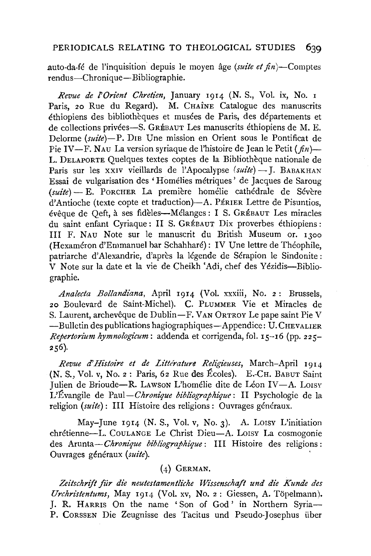## PERIODICALS RELATING TO THEOLOGICAL STUDIES 639

.auto-da-fe de l'inquisition depuis le moyen age *(suite et* fin)-Comptes rendus-Chronique-Bibliographie.

*Revue de l'Orient Chretien*, January 1914 (N. S., Vol. ix, No. 1 Paris, 20 Rue du Regard). M. CHAÎNE Catalogue des manuscrits ethiopiens des bibliotheques et musees de Paris, des departements et de collections privées-S. GRÉBAUT Les manuscrits éthiopiens de M. E. Delorme *(suite)-P.* DIE Une mission en Orient sous le Pontificat de Pie IV—F. NAU La version syriaque de l'histoire de Jean le Petit ( $fn$ )— L. DELAPORTE Quelques textes coptes de la Bibliotheque nationale de Paris sur les XXIV vieillards de l'Apocalypse (suite) - J. BABAKHAN Essai de vulgarisation des 'Homelies metriques' de Jacques de Saroug (suite) - E. PORCHER La première homélie cathédrale de Sévère d'Antioche (texte copte et traduction)—A. PÉRIER Lettre de Pisuntios, eveque de Qeft, a ses fideles-Melanges : I s. GREBAUT Les miracles du saint enfant Cyriaque : II s. GREBAUT Dix proverbes ethiopiens : Ill F. NAu Note sur le manuscrit du British Museum or. 1300 (Hexaméron d'Emmanuel bar Schahharé): IV Une lettre de Théophile, patriarche d'Alexandrie, d'après la légende de Sérapion le Sindonite: V Note sur la date et la vie de Cheikh 'Adi, chef des Yézidis-Bibliographie.

*Analecta Bollandiana,* April 1914 (Vol. xxxiii, No. 2: Brussels, 20 Boulevard de Saint-Michel). C. PLUMMER Vie et Miracles de S. Laurent, archevêque de Dublin-F. VAN ORTROY Le pape saint Pie V -Bulletin des publications hagiographiques-Appendice: U. CHEVALIER *Repertorium hymnologicum:* addenda et corrigenda, fol. 15-16 (pp. 225-  $256$ ).

*Revue d'Histoire et de Littérature Religieuses, March-April 1914* (N. S., Vol. v, No. 2: Paris, *6z* Rue des Ecoles). E.-CH. BABUT Saint Julien de Brioude-R. Lawson L'homélie dite de Léon IV-A. Loisv L'Evangile de Paul-Chronique bibliographique: II Psychologie de la religion *(suite)* : III Histoire des religions : Ouvrages généraux.

May-June 1914 (N. S., Vol. v, No. 3). A. LOISY L'initiation chrétienne-L. COULANGE Le Christ Dieu-A. LOISY La cosmogonie des Arunta-Chronique bibliographique: III Histoire des religions: Ouvrages generaux *(suite).* '

# (4) GERMAN.

Zeitschrift für die neutestamentliche Wissenschaft und die Kunde des *Urchristentums,* May 1914 (Vol. xv, No. 2: Giessen, A. Topelmann). J. R. HARRIS On the name 'Son of God' in Northern Syria-P. CoRSSEN Die Zeugnisse des Tacitus und Pseudo-Josephus iiber